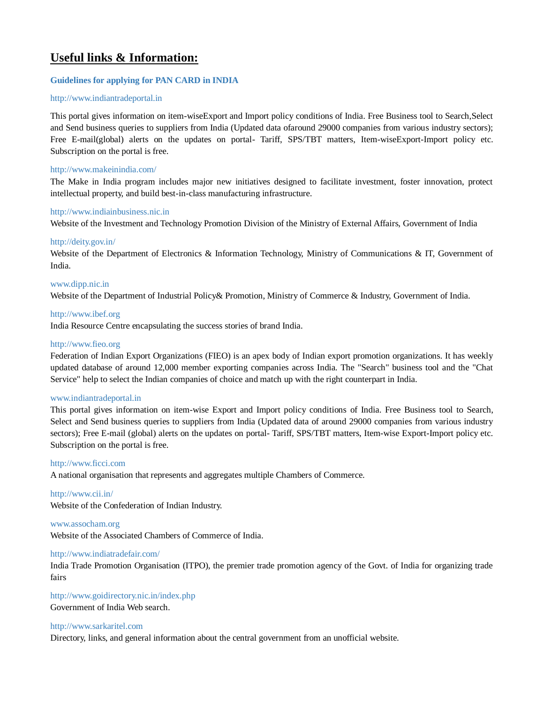# **Useful links & Information:**

# **[Guidelines for applying for PAN CARD in INDIA](http://eoibeijing.gov.in/pdf/Guidelines%20for%20applying%20for%20PAN%20Card.pdf)**

### [http://www.indiantradeportal.in](http://www.indiantradeportal.in/)

This portal gives information on item-wiseExport and Import policy conditions of India. Free Business tool to Search,Select and Send business queries to suppliers from India (Updated data ofaround 29000 companies from various industry sectors); Free E-mail(global) alerts on the updates on portal- Tariff, SPS/TBT matters, Item-wiseExport-Import policy etc. Subscription on the portal is free.

### <http://www.makeinindia.com/>

The Make in India program includes major new initiatives designed to facilitate investment, foster innovation, protect intellectual property, and build best-in-class manufacturing infrastructure.

#### [http://www.indiainbusiness.nic.in](http://indiainbusiness.nic.in/newdesign/index.php)

Website of the Investment and Technology Promotion Division of the Ministry of External Affairs, Government of India

#### <http://deity.gov.in/>

Website of the Department of Electronics & Information Technology, Ministry of Communications & IT, Government of India.

#### [www.dipp.nic.in](http://www.dipp.nic.in/)

Website of the Department of Industrial Policy& Promotion, Ministry of Commerce & Industry, Government of India.

#### [http://www.ibef.org](https://www.ibef.org/)

India Resource Centre encapsulating the success stories of brand India.

#### [http://www.fieo.org](http://www.fieo.org/)

Federation of Indian Export Organizations (FIEO) is an apex body of Indian export promotion organizations. It has weekly updated database of around 12,000 member exporting companies across India. The "Search" business tool and the "Chat Service" help to select the Indian companies of choice and match up with the right counterpart in India.

#### [www.indiantradeportal.in](http://www.indiantradeportal.in/)

This portal gives information on item-wise Export and Import policy conditions of India. Free Business tool to Search, Select and Send business queries to suppliers from India (Updated data of around 29000 companies from various industry sectors); Free E-mail (global) alerts on the updates on portal- Tariff, SPS/TBT matters, Item-wise Export-Import policy etc. Subscription on the portal is free.

#### [http://www.ficci.com](http://ficci.in/)

A national organisation that represents and aggregates multiple Chambers of Commerce.

### <http://www.cii.in/>

Website of the Confederation of Indian Industry.

#### [www.assocham.org](http://www.assocham.org/)

Website of the Associated Chambers of Commerce of India.

#### <http://www.indiatradefair.com/>

India Trade Promotion Organisation (ITPO), the premier trade promotion agency of the Govt. of India for organizing trade fairs

#### <http://www.goidirectory.nic.in/index.php>

Government of India Web search.

#### [http://www.sarkaritel.com](http://www.sarkaritel.com/)

Directory, links, and general information about the central government from an unofficial website.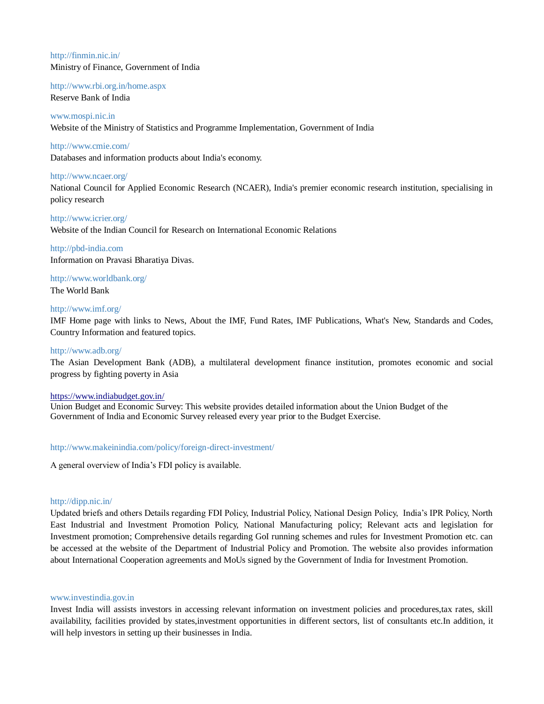# <http://finmin.nic.in/> Ministry of Finance, Government of India

# <http://www.rbi.org.in/home.aspx>

Reserve Bank of India

# [www.mospi.nic.in](http://www.mospi.nic.in/)

Website of the Ministry of Statistics and Programme Implementation, Government of India

# <http://www.cmie.com/>

Databases and information products about India's economy.

# <http://www.ncaer.org/>

National Council for Applied Economic Research (NCAER), India's premier economic research institution, specialising in policy research

# <http://www.icrier.org/> Website of the Indian Council for Research on International Economic Relations

[http://pbd-india.com](http://pbd-india.com/) Information on Pravasi Bharatiya Divas.

<http://www.worldbank.org/> The World Bank

# <http://www.imf.org/>

IMF Home page with links to News, About the IMF, Fund Rates, IMF Publications, What's New, Standards and Codes, Country Information and featured topics.

# <http://www.adb.org/>

The Asian Development Bank (ADB), a multilateral development finance institution, promotes economic and social progress by fighting poverty in Asia

# <https://www.indiabudget.gov.in/>

Union Budget and Economic Survey: This website provides detailed information about the Union Budget of the Government of India and Economic Survey released every year prior to the Budget Exercise.

# <http://www.makeinindia.com/policy/foreign-direct-investment/>

A general overview of India's FDI policy is available.

# <http://dipp.nic.in/>

Updated briefs and others Details regarding FDI Policy, Industrial Policy, National Design Policy, India's IPR Policy, North East Industrial and Investment Promotion Policy, National Manufacturing policy; Relevant acts and legislation for Investment promotion; Comprehensive details regarding GoI running schemes and rules for Investment Promotion etc. can be accessed at the website of the Department of Industrial Policy and Promotion. The website also provides information about International Cooperation agreements and MoUs signed by the Government of India for Investment Promotion.

# [www.investindia.gov.in](http://www.investindia.gov.in/)

Invest India will assists investors in accessing relevant information on investment policies and procedures,tax rates, skill availability, facilities provided by states,investment opportunities in different sectors, list of consultants etc.In addition, it will help investors in setting up their businesses in India.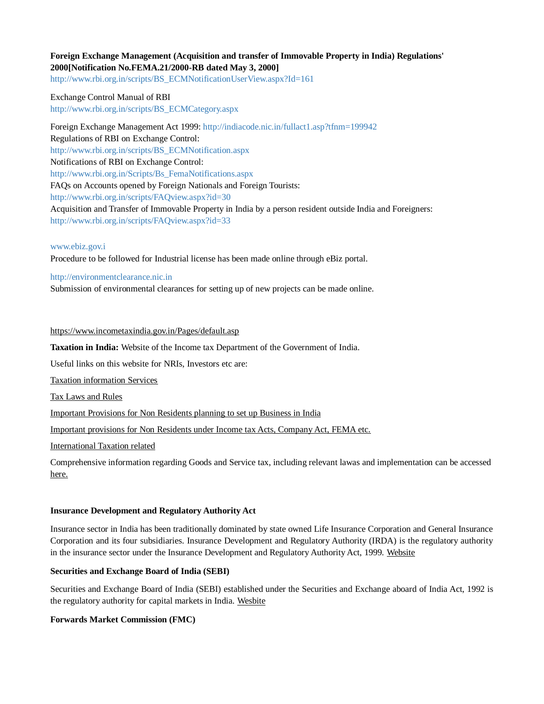# **Foreign Exchange Management (Acquisition and transfer of Immovable Property in India) Regulations' 2000[Notification No.FEMA.21/2000-RB dated May 3, 2000]**

[http://www.rbi.org.in/scripts/BS\\_ECMNotificationUserView.aspx?Id=161](http://www.rbi.org.in/scripts/BS_ECMNotificationUserView.aspx?Id=161)

Exchange Control Manual of RBI [http://www.rbi.org.in/scripts/BS\\_ECMCategory.aspx](https://www.rbi.org.in/scripts/BS_ECMCategory.aspx)

Foreign Exchange Management Act 1999: <http://indiacode.nic.in/fullact1.asp?tfnm=199942> Regulations of RBI on Exchange Control: [http://www.rbi.org.in/scripts/BS\\_ECMNotification.aspx](https://www.rbi.org.in/scripts/BS_ECMNotification.aspx) Notifications of RBI on Exchange Control: [http://www.rbi.org.in/Scripts/Bs\\_FemaNotifications.aspx](https://www.rbi.org.in/Scripts/Bs_FemaNotifications.aspx) FAQs on Accounts opened by Foreign Nationals and Foreign Tourists: [http://www.rbi.org.in/scripts/FAQview.aspx?id=30](https://www.rbi.org.in/scripts/FAQview.aspx?id=30) Acquisition and Transfer of Immovable Property in India by a person resident outside India and Foreigners: <http://www.rbi.org.in/scripts/FAQview.aspx?id=33>

#### [www.ebiz.gov.i](http://www.ebiz.gov.i/)

Procedure to be followed for Industrial license has been made online through eBiz portal.

#### [http://environmentclearance.nic.in](http://environmentclearance.nic.in/)

Submission of environmental clearances for setting up of new projects can be made online.

#### <https://www.incometaxindia.gov.in/Pages/default.asp>

**Taxation in India:** Website of the Income tax Department of the Government of India.

Useful links on this website for NRIs, Investors etc are:

[Taxation information Services](https://www.incometaxindia.gov.in/pages/tax-information-services.aspx)

[Tax Laws and Rules](https://www.incometaxindia.gov.in/pages/tax-laws-rules.aspx)

[Important Provisions for Non Residents planning to set up Business in India](https://www.incometaxindia.gov.in/pages/international-taxation.aspx)

[Important provisions for Non Residents under Income tax Acts, Company Act, FEMA etc.](https://www.incometaxindia.gov.in/Pages/international-taxation/provision-non-resident.aspx)

[International Taxation related](https://www.incometaxindia.gov.in/pages/international-taxation.aspx)

Comprehensive information regarding Goods and Service tax, including relevant lawas and implementation can be accessed [here.](http://www.cbic.gov.in/htdocs-cbec/gst/index)

# **Insurance Development and Regulatory Authority Act**

Insurance sector in India has been traditionally dominated by state owned Life Insurance Corporation and General Insurance Corporation and its four subsidiaries. Insurance Development and Regulatory Authority (IRDA) is the regulatory authority in the insurance sector under the Insurance Development and Regulatory Authority Act, 1999. [Website](http://www.irdaindia.org/)

# **Securities and Exchange Board of India (SEBI)**

Securities and Exchange Board of India (SEBI) established under the Securities and Exchange aboard of India Act, 1992 is the regulatory authority for capital markets in India. [Wesbite](http://www.sebi.gov.in/HomePage.jsp)

# **Forwards Market Commission (FMC)**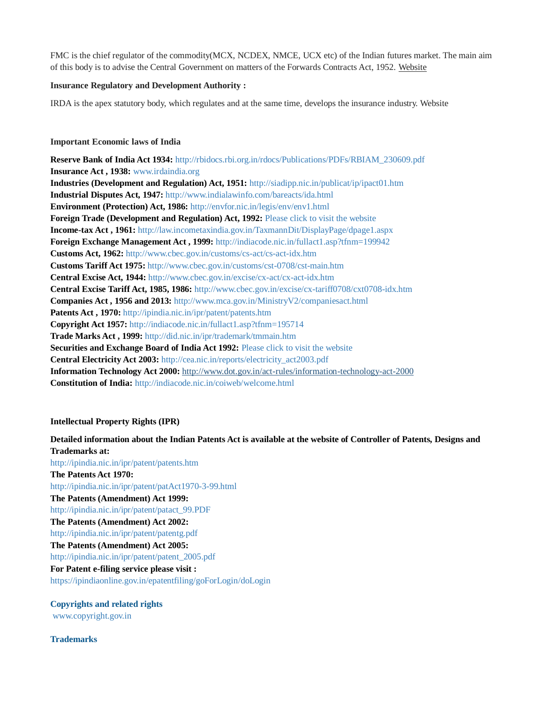FMC is the chief regulator of the commodity(MCX, NCDEX, NMCE, UCX etc) of the Indian futures market. The main aim of this body is to advise the Central Government on matters of the Forwards Contracts Act, 1952. [Website](http://www.fmc.gov.in/sitemap.aspx?langid=2)

# **Insurance Regulatory and Development Authority :**

IRDA is the apex statutory body, which regulates and at the same time, develops the insurance industry. Website

# **Important Economic laws of India**

**Reserve Bank of India Act 1934:** [http://rbidocs.rbi.org.in/rdocs/Publications/PDFs/RBIAM\\_230609.pdf](http://eoibeijing.gov.in/pdf/RBIAM_230609.pdf) **Insurance Act , 1938:** [www.irdaindia.org](https://www.irdai.gov.in/Defaulthome.aspx?page=H1) **Industries (Development and Regulation) Act, 1951:** [http://siadipp.nic.in/publicat/ip/ipact01.htm](http://eoibeijing.gov.in/pdf/Industries_act1951.pdf) **Industrial Disputes Act, 1947:** [http://www.indialawinfo.com/bareacts/ida.html](http://labour.gov.in/sites/default/files/THEINDUSTRIALDISPUTES_ACT1947_0.pdf) **Environment (Protection) Act, 1986:** <http://envfor.nic.in/legis/env/env1.html> **Foreign Trade (Development and Regulation) Act, 1992:** [Please click to visit the website](http://www.cbec.gov.in/index) **Income-tax Act, 1961:** [http://law.incometaxindia.gov.in/TaxmannDit/DisplayPage/dpage1.aspx](http://www.incometaxindia.gov.in/Pages/default.aspx) **Foreign Exchange Management Act , 1999:** <http://indiacode.nic.in/fullact1.asp?tfnm=199942> **Customs Act, 1962:** [http://www.cbec.gov.in/customs/cs-act/cs-act-idx.htm](http://eoibeijing.gov.in/www.cbec.gov.in/htdocs-cbec/customs/cs-acts-botm) **Customs Tariff Act 1975:** [http://www.cbec.gov.in/customs/cst-0708/cst-main.htm](http://www.cbec.gov.in/resources/htdocs-cbec/customs/cst2012-13/cst-act-1213.pdf) **Central Excise Act, 1944:** [http://www.cbec.gov.in/excise/cx-act/cx-act-idx.htm](http://www.cbec.gov.in/htdocs-cbec/excise/cx-act/cx-act-ch2-june16) **Central Excise Tariff Act, 1985, 1986:** [http://www.cbec.gov.in/excise/cx-tariff0708/cxt0708-idx.htm](http://www.cbec.gov.in/resources/htdocs-cbec/excise/cxt2012-13/cxt-act-1213.pdf) **Companies Act , 1956 and 2013:** [http://www.mca.gov.in/MinistryV2/companiesact.html](http://www.mca.gov.in/SearchableActs/Section2.htm) Patents Act, 1970: [http://ipindia.nic.in/ipr/patent/patents.htm](http://ipindia.nic.in/) **Copyright Act 1957:** <http://indiacode.nic.in/fullact1.asp?tfnm=195714> **Trade Marks Act , 1999:** [http://did.nic.in/ipr/trademark/tmmain.htm](http://www.wipo.int/wipolex/en/text.jsp?file_id=1281070) **Securities and Exchange Board of India Act 1992:** [Please click to visit the website](http://www.sebi.gov.in/Index.jsp?contentDisp=SiteMap) **Central Electricity Act 2003:** [http://cea.nic.in/reports/electricity\\_act2003.pdf](http://cea.nic.in/) **Information Technology Act 2000:** <http://www.dot.gov.in/act-rules/information-technology-act-2000> **Constitution of India:** <http://indiacode.nic.in/coiweb/welcome.html>

# **Intellectual Property Rights (IPR)**

# **Detailed information about the Indian Patents Act is available at the website of Controller of Patents, Designs and Trademarks at:**

[http://ipindia.nic.in/ipr/patent/patents.htm](http://ipindia.nic.in/) **The Patents Act 1970:** [http://ipindia.nic.in/ipr/patent/patAct1970-3-99.html](http://ipindia.nic.in/) **The Patents (Amendment) Act 1999:** [http://ipindia.nic.in/ipr/patent/patact\\_99.PDF](http://ipindia.nic.in/) **The Patents (Amendment) Act 2002:** [http://ipindia.nic.in/ipr/patent/patentg.pdf](http://ipindia.nic.in/) **The Patents (Amendment) Act 2005:** [http://ipindia.nic.in/ipr/patent/patent\\_2005.pdf](http://ipindia.nic.in/) **For Patent e-filing service please visit :** <https://ipindiaonline.gov.in/epatentfiling/goForLogin/doLogin>

# **Copyrights and related rights**

[www.copyright.gov.in](http://eoibeijing.gov.in/www.copyright.gov.in)

# **Trademarks**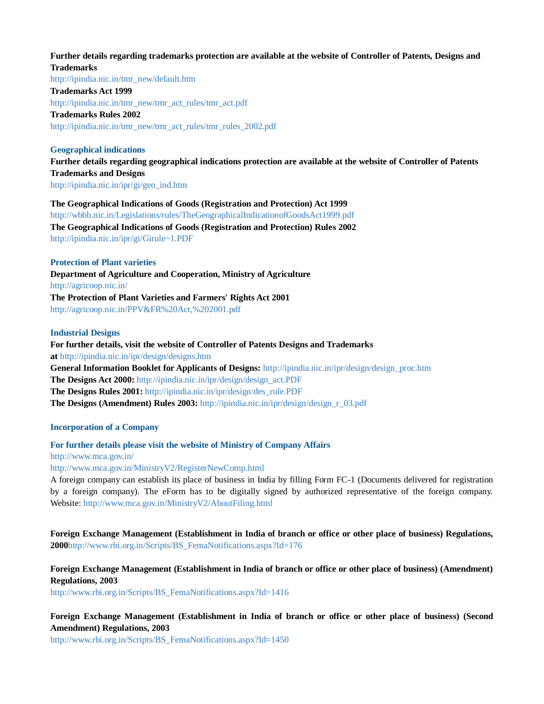#### **Further details regarding trademarks protection are available at the website of Controller of Patents, Designs and Trademarks**

[http://ipindia.nic.in/tmr\\_new/default.htm](http://ipindia.nic.in/) **Trademarks Act 1999** [http://ipindia.nic.in/tmr\\_new/tmr\\_act\\_rules/tmr\\_act.pdf](http://ipindia.nic.in/) **Trademarks Rules 2002** [http://ipindia.nic.in/tmr\\_new/tmr\\_act\\_rules/tmr\\_rules\\_2002.pdf](http://ipindia.nic.in/tmr_new/tmr_act_rules/tmr_rules_2002.pdf)

# **Geographical indications**

**Further details regarding geographical indications protection are available at the website of Controller of Patents Trademarks and Designs** [http://ipindia.nic.in/ipr/gi/geo\\_ind.htm](http://ipindia.nic.in/)

# **The Geographical Indications of Goods (Registration and Protection) Act 1999**

[http://wbbb.nic.in/Legislations/rules/TheGeographicalIndicationofGoodsAct1999.pdf](http://eoibeijing.gov.in/pdf/TheGeographicalIndicationofGoodsAct1999.pdf) **The Geographical Indications of Goods (Registration and Protection) Rules 2002** [http://ipindia.nic.in/ipr/gi/Girule~1.PDF](http://ipindia.nic.in/)

# **Protection of Plant varieties**

**Department of Agriculture and Cooperation, Ministry of Agriculture** <http://agricoop.nic.in/> **The Protection of Plant Varieties and Farmers' Rights Act 2001** [http://agricoop.nic.in/PPV&FR%20Act,%202001.pdf](http://agricoop.nic.in/)

# **Industrial Designs**

# **For further details, visit the website of Controller of Patents Designs and Trademarks at** [http://ipindia.nic.in/ipr/design/designs.htm](http://ipindia.nic.in/) **General Information Booklet for Applicants of Designs:** [http://ipindia.nic.in/ipr/design/design\\_proc.htm](http://ipindia.nic.in/) **The Designs Act 2000:** [http://ipindia.nic.in/ipr/design/design\\_act.PDF](http://ipindia.nic.in/) **The Designs Rules 2001:** [http://ipindia.nic.in/ipr/design/des\\_rule.PDF](http://ipindia.nic.in/) **The Designs (Amendment) Rules 2003:** [http://ipindia.nic.in/ipr/design/design\\_r\\_03.pdf](http://ipindia.nic.in/)

# **Incorporation of a Company**

# **For further details please visit the website of Ministry of Company Affairs**

<http://www.mca.gov.in/>

[http://www.mca.gov.in/MinistryV2/RegisterNewComp.html](http://www.mca.gov.in/MinistryV2/)

A foreign company can establish its place of business in India by filling Form FC-1 (Documents delivered for registration by a foreign company). The eForm has to be digitally signed by authorized representative of the foreign company. Website: [http://www.mca.gov.in/MinistryV2/AboutFiling.html](http://www.mca.gov.in/MinistryV2/)

**Foreign Exchange Management (Establishment in India of branch or office or other place of business) Regulations, 2000**[http://www.rbi.org.in/Scripts/BS\\_FemaNotifications.aspx?Id=176](https://www.rbi.org.in/Scripts/BS_FemaNotifications.aspx?Id=176)

# **Foreign Exchange Management (Establishment in India of branch or office or other place of business) (Amendment) Regulations, 2003**

[http://www.rbi.org.in/Scripts/BS\\_FemaNotifications.aspx?Id=1416](https://www.rbi.org.in/Scripts/BS_FemaNotifications.aspx?Id=1416)

**Foreign Exchange Management (Establishment in India of branch or office or other place of business) (Second Amendment) Regulations, 2003**

[http://www.rbi.org.in/Scripts/BS\\_FemaNotifications.aspx?Id=1450](https://www.rbi.org.in/Scripts/BS_FemaNotifications.aspx?Id=1450)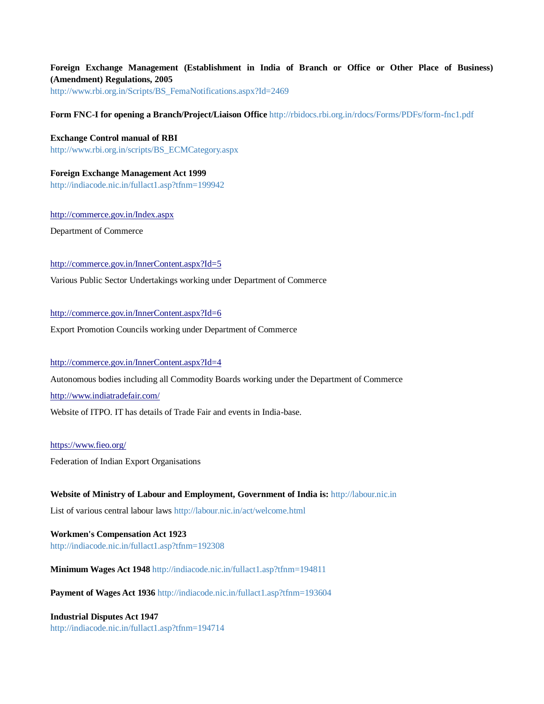# **Foreign Exchange Management (Establishment in India of Branch or Office or Other Place of Business) (Amendment) Regulations, 2005**

[http://www.rbi.org.in/Scripts/BS\\_FemaNotifications.aspx?Id=2469](https://www.rbi.org.in/Scripts/BS_FemaNotifications.aspx?Id=2469)

### **Form FNC-I for opening a Branch/Project/Liaison Office** [http://rbidocs.rbi.org.in/rdocs/Forms/PDFs/form-fnc1.pdf](https://rbidocs.rbi.org.in/rdocs/Forms/PDFs/form-fnc1.pdf)

**Exchange Control manual of RBI** [http://www.rbi.org.in/scripts/BS\\_ECMCategory.aspx](https://www.rbi.org.in/scripts/BS_ECMCategory.aspx)

**Foreign Exchange Management Act 1999** <http://indiacode.nic.in/fullact1.asp?tfnm=199942>

<http://commerce.gov.in/Index.aspx>

Department of Commerce

#### <http://commerce.gov.in/InnerContent.aspx?Id=5>

Various Public Sector Undertakings working under Department of Commerce

# <http://commerce.gov.in/InnerContent.aspx?Id=6>

Export Promotion Councils working under Department of Commerce

### <http://commerce.gov.in/InnerContent.aspx?Id=4>

Autonomous bodies including all Commodity Boards working under the Department of Commerce

<http://www.indiatradefair.com/>

Website of ITPO. IT has details of Trade Fair and events in India-base.

#### <https://www.fieo.org/>

Federation of Indian Export Organisations

**Website of Ministry of Labour and Employment, Government of India is:** [http://labour.nic.in](http://labour.nic.in/) List of various central labour laws [http://labour.nic.in/act/welcome.html](http://labour.nic.in/)

**Workmen's Compensation Act 1923** [http://indiacode.nic.in/fullact1.asp?tfnm=192308](http://eoibeijing.gov.in/indiacode.nic.in/fullact1.asp?tfnm=192308)

**Minimum Wages Act 1948** <http://indiacode.nic.in/fullact1.asp?tfnm=194811>

**Payment of Wages Act 1936** <http://indiacode.nic.in/fullact1.asp?tfnm=193604>

**Industrial Disputes Act 1947** <http://indiacode.nic.in/fullact1.asp?tfnm=194714>